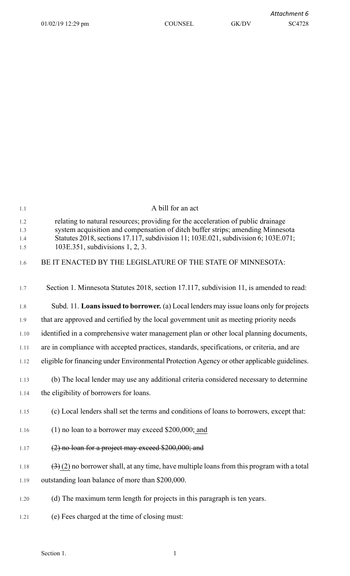| 1.1                      | A bill for an act                                                                                                                                                                                                                                                                           |
|--------------------------|---------------------------------------------------------------------------------------------------------------------------------------------------------------------------------------------------------------------------------------------------------------------------------------------|
| 1.2<br>1.3<br>1.4<br>1.5 | relating to natural resources; providing for the acceleration of public drainage<br>system acquisition and compensation of ditch buffer strips; amending Minnesota<br>Statutes 2018, sections 17.117, subdivision 11; 103E.021, subdivision 6; 103E.071;<br>103E.351, subdivisions 1, 2, 3. |
| 1.6                      | BE IT ENACTED BY THE LEGISLATURE OF THE STATE OF MINNESOTA:                                                                                                                                                                                                                                 |
| 1.7                      | Section 1. Minnesota Statutes 2018, section 17.117, subdivision 11, is amended to read:                                                                                                                                                                                                     |
| 1.8                      | Subd. 11. Loans issued to borrower. (a) Local lenders may issue loans only for projects                                                                                                                                                                                                     |
| 1.9                      | that are approved and certified by the local government unit as meeting priority needs                                                                                                                                                                                                      |
| 1.10                     | identified in a comprehensive water management plan or other local planning documents,                                                                                                                                                                                                      |
| 1.11                     | are in compliance with accepted practices, standards, specifications, or criteria, and are                                                                                                                                                                                                  |
| 1.12                     | eligible for financing under Environmental Protection Agency or other applicable guidelines.                                                                                                                                                                                                |
| 1.13                     | (b) The local lender may use any additional criteria considered necessary to determine                                                                                                                                                                                                      |
| 1.14                     | the eligibility of borrowers for loans.                                                                                                                                                                                                                                                     |
| 1.15                     | (c) Local lenders shall set the terms and conditions of loans to borrowers, except that:                                                                                                                                                                                                    |
| 1.16                     | $(1)$ no loan to a borrower may exceed \$200,000; and                                                                                                                                                                                                                                       |
| 1.17                     | $(2)$ no loan for a project may exceed \$200,000; and                                                                                                                                                                                                                                       |
| 1.18                     | $(3)$ (2) no borrower shall, at any time, have multiple loans from this program with a total                                                                                                                                                                                                |
| 1.19                     | outstanding loan balance of more than \$200,000.                                                                                                                                                                                                                                            |
| 1.20                     | (d) The maximum term length for projects in this paragraph is ten years.                                                                                                                                                                                                                    |
| 1.21                     | (e) Fees charged at the time of closing must:                                                                                                                                                                                                                                               |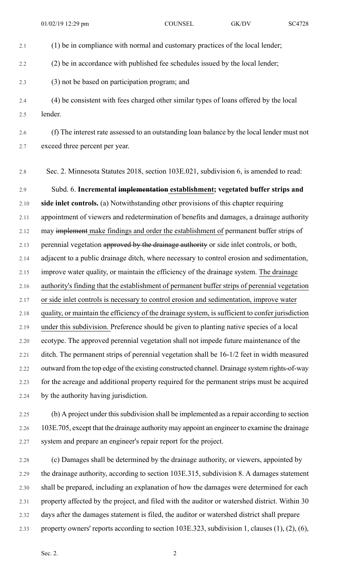- 2.1 (1) be in compliance with normal and customary practices of the local lender; 2.2 (2) be in accordance with published fee schedules issued by the local lender; 2.3 (3) not be based on participation program; and 2.4 (4) be consistent with fees charged other similar types of loans offered by the local 2.5 lender. 2.6 (f) The interest rate assessed to an outstanding loan balance by the local lender must not 2.7 exceed three percent per year. 2.8 Sec. 2. Minnesota Statutes 2018, section 103E.021, subdivision 6, is amended to read: 2.9 Subd. 6. **Incremental implementation establishment; vegetated buffer strips and** 2.10 **side inlet controls.** (a) Notwithstanding other provisions of this chapter requiring 2.11 appointment of viewers and redetermination of benefits and damages, a drainage authority 2.12 may implement make findings and order the establishment of permanent buffer strips of 2.13 perennial vegetation approved by the drainage authority or side inlet controls, or both, 2.14 adjacent to a public drainage ditch, where necessary to control erosion and sedimentation, 2.15 improve water quality, or maintain the efficiency of the drainage system. The drainage 2.16 authority's finding that the establishment of permanent buffer strips of perennial vegetation
- 2.17 or side inlet controls is necessary to control erosion and sedimentation, improve water
- 2.18 quality, or maintain the efficiency of the drainage system, is sufficient to confer jurisdiction
- 2.19 under this subdivision. Preference should be given to planting native species of a local 2.20 ecotype. The approved perennial vegetation shall not impede future maintenance of the 2.21 ditch. The permanent strips of perennial vegetation shall be 16-1/2 feet in width measured 2.22 outward from the top edge of the existing constructed channel. Drainage system rights-of-way 2.23 for the acreage and additional property required for the permanent strips must be acquired 2.24 by the authority having jurisdiction.
- 2.25 (b) A project under this subdivision shall be implemented as a repair according to section 2.26 103E.705, except that the drainage authority may appoint an engineer to examine the drainage 2.27 system and prepare an engineer's repair report for the project.
- 2.28 (c) Damages shall be determined by the drainage authority, or viewers, appointed by 2.29 the drainage authority, according to section 103E.315, subdivision 8. A damages statement 2.30 shall be prepared, including an explanation of how the damages were determined for each 2.31 property affected by the project, and filed with the auditor or watershed district. Within 30 2.32 days after the damages statement is filed, the auditor or watershed district shall prepare 2.33 property owners' reports according to section 103E.323, subdivision 1, clauses (1), (2), (6),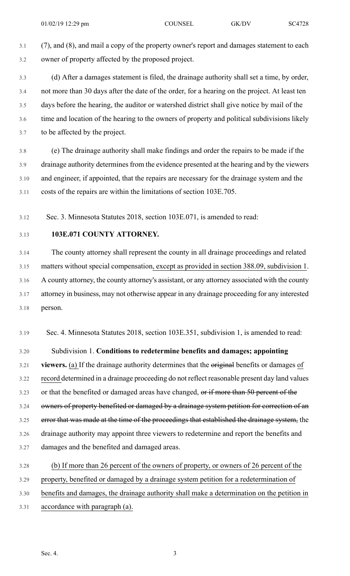3.1 (7), and (8), and mail a copy of the property owner's report and damages statement to each 3.2 owner of property affected by the proposed project.

3.3 (d) After a damages statement is filed, the drainage authority shall set a time, by order, 3.4 not more than 30 days after the date of the order, for a hearing on the project. At least ten 3.5 days before the hearing, the auditor or watershed district shall give notice by mail of the 3.6 time and location of the hearing to the owners of property and political subdivisions likely 3.7 to be affected by the project.

3.8 (e) The drainage authority shall make findings and order the repairs to be made if the 3.9 drainage authority determines from the evidence presented at the hearing and by the viewers 3.10 and engineer, if appointed, that the repairs are necessary for the drainage system and the 3.11 costs of the repairs are within the limitations of section 103E.705.

3.12 Sec. 3. Minnesota Statutes 2018, section 103E.071, is amended to read:

## 3.13 **103E.071 COUNTY ATTORNEY.**

3.14 The county attorney shall represent the county in all drainage proceedings and related 3.15 matters without special compensation, except as provided in section 388.09, subdivision 1. 3.16 A county attorney, the county attorney's assistant, or any attorney associated with the county 3.17 attorney in business, may not otherwise appear in any drainage proceeding for any interested 3.18 person.

3.19 Sec. 4. Minnesota Statutes 2018, section 103E.351, subdivision 1, is amended to read:

3.20 Subdivision 1. **Conditions to redetermine benefits and damages; appointing**

3.21 **viewers.** (a) If the drainage authority determines that the original benefits or damages of 3.22 record determined in a drainage proceeding do not reflect reasonable present day land values 3.23 or that the benefited or damaged areas have changed, or if more than 50 percent of the 3.24 owners of property benefited or damaged by a drainage system petition for correction of an 3.25 error that was made at the time of the proceedings that established the drainage system, the 3.26 drainage authority may appoint three viewers to redetermine and report the benefits and 3.27 damages and the benefited and damaged areas.

3.28 (b) If more than 26 percent of the owners of property, or owners of 26 percent of the 3.29 property, benefited or damaged by a drainage system petition for a redetermination of 3.30 benefits and damages, the drainage authority shall make a determination on the petition in

3.31 accordance with paragraph (a).